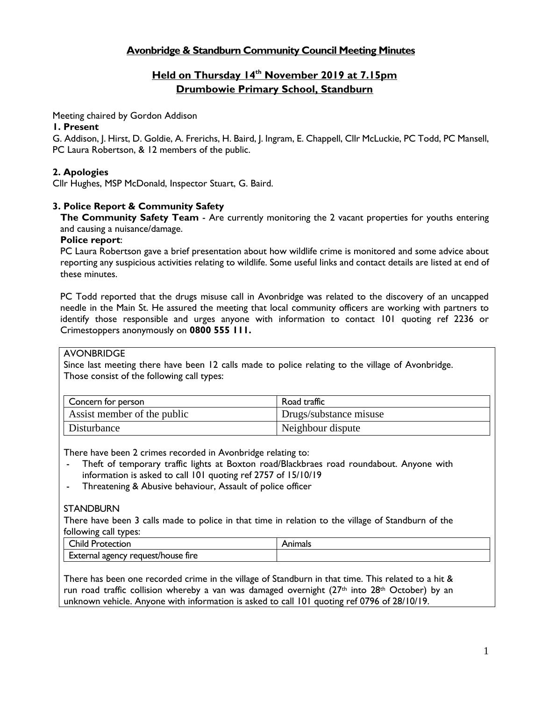## **Avonbridge & Standburn Community Council Meeting Minutes**

# **Held on Thursday 14 th November 2019 at 7.15pm Drumbowie Primary School, Standburn**

Meeting chaired by Gordon Addison

### **1. Present**

G. Addison, J. Hirst, D. Goldie, A. Frerichs, H. Baird, J. Ingram, E. Chappell, Cllr McLuckie, PC Todd, PC Mansell, PC Laura Robertson, & 12 members of the public.

### **2. Apologies**

Cllr Hughes, MSP McDonald, Inspector Stuart, G. Baird.

### **3. Police Report & Community Safety**

**The Community Safety Team** - Are currently monitoring the 2 vacant properties for youths entering and causing a nuisance/damage.

### **Police report**:

PC Laura Robertson gave a brief presentation about how wildlife crime is monitored and some advice about reporting any suspicious activities relating to wildlife. Some useful links and contact details are listed at end of these minutes.

PC Todd reported that the drugs misuse call in Avonbridge was related to the discovery of an uncapped needle in the Main St. He assured the meeting that local community officers are working with partners to identify those responsible and urges anyone with information to contact 101 quoting ref 2236 or Crimestoppers anonymously on **0800 555 111.**

#### **AVONBRIDGE**

Since last meeting there have been 12 calls made to police relating to the village of Avonbridge. Those consist of the following call types:

| Concern for person          | Road traffic           |
|-----------------------------|------------------------|
| Assist member of the public | Drugs/substance misuse |
| Disturbance                 | Neighbour dispute      |

There have been 2 crimes recorded in Avonbridge relating to:

- Theft of temporary traffic lights at Boxton road/Blackbraes road roundabout. Anyone with information is asked to call 101 quoting ref 2757 of 15/10/19
- Threatening & Abusive behaviour, Assault of police officer

#### **STANDBURN**

There have been 3 calls made to police in that time in relation to the village of Standburn of the following call types:

| ~<br>`hila<br>Protection                                 | ، اممد سا<br>мu<br>ual- |
|----------------------------------------------------------|-------------------------|
| request/house "<br><b>External agency</b><br>tire<br>`\/ |                         |

There has been one recorded crime in the village of Standburn in that time. This related to a hit & run road traffic collision whereby a van was damaged overnight  $(27<sup>th</sup>$  into  $28<sup>th</sup>$  October) by an unknown vehicle. Anyone with information is asked to call 101 quoting ref 0796 of 28/10/19.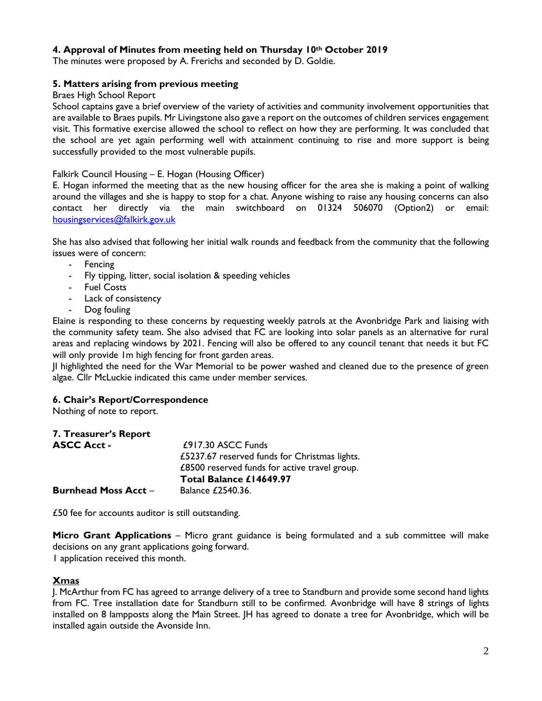### **4. Approval of Minutes from meeting held on Thursday 10th October 2019**

The minutes were proposed by A. Frerichs and seconded by D. Goldie.

### **5. Matters arising from previous meeting**

#### Braes High School Report

School captains gave a brief overview of the variety of activities and community involvement opportunities that are available to Braes pupils. Mr Livingstone also gave a report on the outcomes of children services engagement visit. This formative exercise allowed the school to reflect on how they are performing. It was concluded that the school are yet again performing well with attainment continuing to rise and more support is being successfully provided to the most vulnerable pupils.

#### Falkirk Council Housing – E. Hogan (Housing Officer)

E. Hogan informed the meeting that as the new housing officer for the area she is making a point of walking around the villages and she is happy to stop for a chat. Anyone wishing to raise any housing concerns can also contact her directly via the main switchboard on 01324 506070 (Option2) or email: [housingservices@falkirk.gov.uk](mailto:housingservices@falkirk.gov.uk)

She has also advised that following her initial walk rounds and feedback from the community that the following issues were of concern:

- Fencing
- Fly tipping, litter, social isolation & speeding vehicles
- Fuel Costs
- Lack of consistency
- Dog fouling

Elaine is responding to these concerns by requesting weekly patrols at the Avonbridge Park and liaising with the community safety team. She also advised that FC are looking into solar panels as an alternative for rural areas and replacing windows by 2021. Fencing will also be offered to any council tenant that needs it but FC will only provide 1m high fencing for front garden areas.

JI highlighted the need for the War Memorial to be power washed and cleaned due to the presence of green algae. Cllr McLuckie indicated this came under member services.

#### **6. Chair's Report/Correspondence**

Nothing of note to report.

| 7. Treasurer's Report       |                                               |
|-----------------------------|-----------------------------------------------|
| <b>ASCC Acct -</b>          | $£917.30$ ASCC Funds                          |
|                             | £5237.67 reserved funds for Christmas lights. |
|                             | £8500 reserved funds for active travel group. |
|                             | Total Balance £14649.97                       |
| <b>Burnhead Moss Acct -</b> | Balance £2540.36.                             |

£50 fee for accounts auditor is still outstanding.

**Micro Grant Applications** – Micro grant guidance is being formulated and a sub committee will make decisions on any grant applications going forward.

1 application received this month.

#### **Xmas**

J. McArthur from FC has agreed to arrange delivery of a tree to Standburn and provide some second hand lights from FC. Tree installation date for Standburn still to be confirmed. Avonbridge will have 8 strings of lights installed on 8 lampposts along the Main Street. JH has agreed to donate a tree for Avonbridge, which will be installed again outside the Avonside Inn.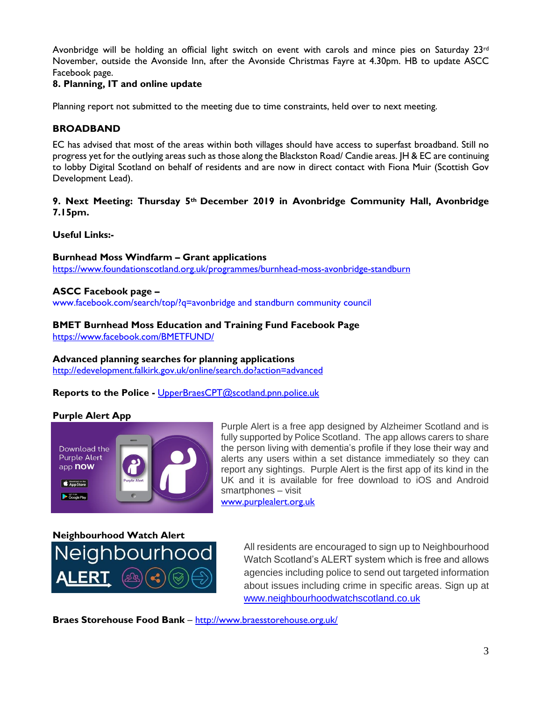Avonbridge will be holding an official light switch on event with carols and mince pies on Saturday 23rd November, outside the Avonside Inn, after the Avonside Christmas Fayre at 4.30pm. HB to update ASCC Facebook page.

### **8. Planning, IT and online update**

Planning report not submitted to the meeting due to time constraints, held over to next meeting.

### **BROADBAND**

EC has advised that most of the areas within both villages should have access to superfast broadband. Still no progress yet for the outlying areas such as those along the Blackston Road/ Candie areas. JH & EC are continuing to lobby Digital Scotland on behalf of residents and are now in direct contact with Fiona Muir (Scottish Gov Development Lead).

### **9. Next Meeting: Thursday 5th December 2019 in Avonbridge Community Hall, Avonbridge 7.15pm.**

**Useful Links:-**

**Burnhead Moss Windfarm – Grant applications** <https://www.foundationscotland.org.uk/programmes/burnhead-moss-avonbridge-standburn>

#### **ASCC Facebook page –**

www.facebook.com/search/top/?q=avonbridge and standburn community council

#### **BMET Burnhead Moss Education and Training Fund Facebook Page** <https://www.facebook.com/BMETFUND/>

#### **Advanced planning searches for planning applications** <http://edevelopment.falkirk.gov.uk/online/search.do?action=advanced>

**Reports to the Police -** [UpperBraesCPT@scotland.pnn.police.uk](mailto:UpperBraesCPT@scotland.pnn.police.uk)

#### **Purple Alert App**



Purple Alert is a free app designed by Alzheimer Scotland and is fully supported by Police Scotland. The app allows carers to share the person living with dementia's profile if they lose their way and alerts any users within a set distance immediately so they can report any sightings. Purple Alert is the first app of its kind in the UK and it is available for free download to iOS and Android smartphones – visit

[www.purplealert.org.uk](http://www.purplealert.org.uk/)



All residents are encouraged to sign up to Neighbourhood Watch Scotland's ALERT system which is free and allows agencies including police to send out targeted information about issues including crime in specific areas. Sign up at [www.neighbourhoodwatchscotland.co.uk](http://www.neighbourhoodwatchscotland.co.uk/)

**Braes Storehouse Food Bank** – <http://www.braesstorehouse.org.uk/>